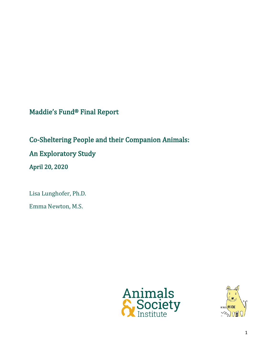Maddie's Fund® Final Report

Co-Sheltering People and their Companion Animals: An Exploratory Study April 20, 2020

Lisa Lunghofer, Ph.D.

Emma Newton, M.S.



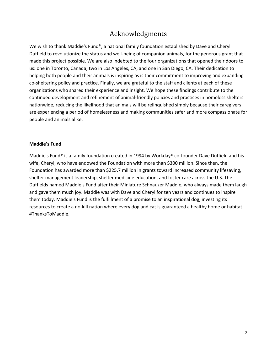# Acknowledgments

We wish to thank Maddie's Fund®, a national family foundation established by Dave and Cheryl Duffield to revolutionize the status and well-being of companion animals, for the generous grant that made this project possible. We are also indebted to the four organizations that opened their doors to us: one in Toronto, Canada; two in Los Angeles, CA; and one in San Diego, CA. Their dedication to helping both people and their animals is inspiring as is their commitment to improving and expanding co-sheltering policy and practice. Finally, we are grateful to the staff and clients at each of these organizations who shared their experience and insight. We hope these findings contribute to the continued development and refinement of animal-friendly policies and practices in homeless shelters nationwide, reducing the likelihood that animals will be relinquished simply because their caregivers are experiencing a period of homelessness and making communities safer and more compassionate for people and animals alike.

#### **Maddie's Fund**

Maddie's Fund® is a family foundation created in 1994 by Workday® co-founder Dave Duffield and his wife, Cheryl, who have endowed the Foundation with more than \$300 million. Since then, the Foundation has awarded more than \$225.7 million in grants toward increased community lifesaving, shelter management leadership, shelter medicine education, and foster care across the U.S. The Duffields named Maddie's Fund after their Miniature Schnauzer Maddie, who always made them laugh and gave them much joy. Maddie was with Dave and Cheryl for ten years and continues to inspire them today. Maddie's Fund is the fulfillment of a promise to an inspirational dog, investing its resources to create a no-kill nation where every dog and cat is guaranteed a healthy home or habitat. #ThanksToMaddie.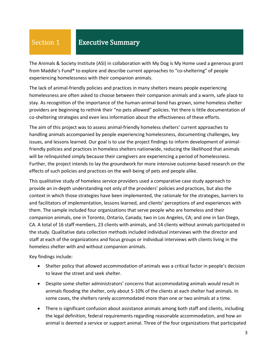#### Section 1 Executive Summary

The Animals & Society Institute (ASI) in collaboration with My Dog is My Home used a generous grant from Maddie's Fund® to explore and describe current approaches to "co-sheltering" of people experiencing homelessness with their companion animals.

The lack of animal-friendly policies and practices in many shelters means people experiencing homelessness are often asked to choose between their companion animals and a warm, safe place to stay. As recognition of the importance of the human-animal bond has grown, some homeless shelter providers are beginning to rethink their "no pets allowed" policies. Yet there is little documentation of co-sheltering strategies and even less information about the effectiveness of these efforts.

The aim of this project was to assess animal-friendly homeless shelters' current approaches to handling animals accompanied by people experiencing homelessness, documenting challenges, key issues, and lessons learned. Our goal is to use the project findings to inform development of animalfriendly policies and practices in homeless shelters nationwide, reducing the likelihood that animals will be relinquished simply because their caregivers are experiencing a period of homelessness. Further, the project intends to lay the groundwork for more intensive outcome-based research on the effects of such policies and practices on the well-being of pets and people alike.

This qualitative study of homeless service providers used a comparative case study approach to provide an in-depth understanding not only of the providers' policies and practices, but also the context in which those strategies have been implemented, the rationale for the strategies, barriers to and facilitators of implementation, lessons learned, and clients' perceptions of and experiences with them. The sample included four organizations that serve people who are homeless and their companion animals, one in Toronto, Ontario, Canada; two in Los Angeles, CA; and one in San Diego, CA. A total of 16 staff members, 23 clients with animals, and 14 clients without animals participated in the study. Qualitative data collection methods included individual interviews with the director and staff at each of the organizations and focus groups or individual interviews with clients living in the homeless shelter with and without companion animals.

Key findings include:

- Shelter policy that allowed accommodation of animals was a critical factor in people's decision to leave the street and seek shelter.
- Despite some shelter administrators' concerns that accommodating animals would result in animals flooding the shelter, only about 5-10% of the clients at each shelter had animals. In some cases, the shelters rarely accommodated more than one or two animals at a time.
- There is significant confusion about assistance animals among both staff and clients, including the legal definition, federal requirements regarding reasonable accommodation, and how an animal is deemed a service or support animal. Three of the four organizations that participated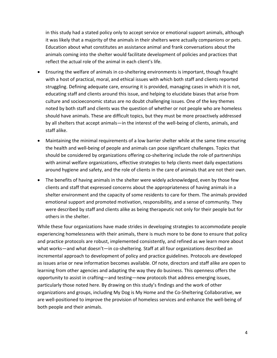in this study had a stated policy only to accept service or emotional support animals, although it was likely that a majority of the animals in their shelters were actually companions or pets. Education about what constitutes an assistance animal and frank conversations about the animals coming into the shelter would facilitate development of policies and practices that reflect the actual role of the animal in each client's life.

- Ensuring the welfare of animals in co-sheltering environments is important, though fraught with a host of practical, moral, and ethical issues with which both staff and clients reported struggling. Defining adequate care, ensuring it is provided, managing cases in which it is not, educating staff and clients around this issue, and helping to elucidate biases that arise from culture and socioeconomic status are no doubt challenging issues. One of the key themes noted by both staff and clients was the question of whether or not people who are homeless should have animals. These are difficult topics, but they must be more proactively addressed by all shelters that accept animals—in the interest of the well-being of clients, animals, and staff alike.
- Maintaining the minimal requirements of a low barrier shelter while at the same time ensuring the health and well-being of people and animals can pose significant challenges. Topics that should be considered by organizations offering co-sheltering include the role of partnerships with animal welfare organizations, effective strategies to help clients meet daily expectations around hygiene and safety, and the role of clients in the care of animals that are not their own.
- The benefits of having animals in the shelter were widely acknowledged, even by those few clients and staff that expressed concerns about the appropriateness of having animals in a shelter environment and the capacity of some residents to care for them. The animals provided emotional support and promoted motivation, responsibility, and a sense of community. They were described by staff and clients alike as being therapeutic not only for their people but for others in the shelter.

While these four organizations have made strides in developing strategies to accommodate people experiencing homelessness with their animals, there is much more to be done to ensure that policy and practice protocols are robust, implemented consistently, and refined as we learn more about what works—and what doesn't—in co-sheltering. Staff at all four organizations described an incremental approach to development of policy and practice guidelines. Protocols are developed as issues arise or new information becomes available. Of note, directors and staff alike are open to learning from other agencies and adapting the way they do business. This openness offers the opportunity to assist in crafting—and testing—new protocols that address emerging issues, particularly those noted here. By drawing on this study's findings and the work of other organizations and groups, including My Dog is My Home and the Co-Sheltering Collaborative, we are well-positioned to improve the provision of homeless services and enhance the well-being of both people and their animals.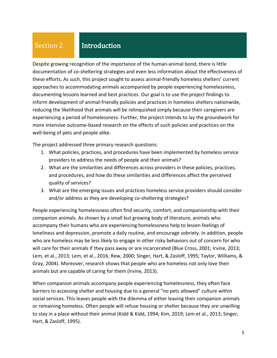# Section 2

# Introduction

Despite growing recognition of the importance of the human-animal bond, there is little documentation of co-sheltering strategies and even less information about the effectiveness of these efforts. As such, this project sought to assess animal-friendly homeless shelters' current approaches to accommodating animals accompanied by people experiencing homelessness, documenting lessons learned and best practices. Our goal is to use the project findings to inform development of animal-friendly policies and practices in homeless shelters nationwide, reducing the likelihood that animals will be relinquished simply because their caregivers are experiencing a period of homelessness. Further, the project intends to lay the groundwork for more intensive outcome-based research on the effects of such policies and practices on the well-being of pets and people alike.

The project addressed three primary research questions:

- 1. What policies, practices, and procedures have been implemented by homeless service providers to address the needs of people and their animals?
- 2. What are the similarities and differences across providers in these policies, practices, and procedures, and how do these similarities and differences affect the perceived quality of services?
- 3. What are the emerging issues and practices homeless service providers should consider and/or address as they are developing co-sheltering strategies?

People experiencing homelessness often find security, comfort, and companionship with their companion animals. As shown by a small but growing body of literature, animals who accompany their humans who are experiencing homelessness help to lessen feelings of loneliness and depression, promote a daily routine, and encourage sobriety. In addition, people who are homeless may be less likely to engage in other risky behaviors out of concern for who will care for their animals if they pass away or are incarcerated (Blue Cross, 2001; Irvine, 2013; Lem, et al., 2013; Lem, et al., 2016; Rew, 2000; Singer, Hart, & Zasloff, 1995; Taylor, Williams, & Gray, 2004). Moreover, research shows that people who are homeless not only love their animals but are capable of caring for them (Irvine, 2013).

When companion animals accompany people experiencing homelessness, they often face barriers to accessing shelter and housing due to a general "no pets allowed" culture within social services. This leaves people with the dilemma of either leaving their companion animals or remaining homeless. Often people will refuse housing or shelter because they are unwilling to stay in a place without their animal (Kidd & Kidd, 1994; Kim, 2019; Lem et al., 2013; Singer, Hart, & Zasloff, 1995).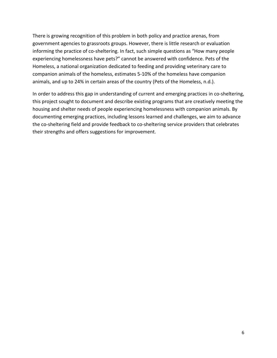There is growing recognition of this problem in both policy and practice arenas, from government agencies to grassroots groups. However, there is little research or evaluation informing the practice of co-sheltering. In fact, such simple questions as "How many people experiencing homelessness have pets?" cannot be answered with confidence. Pets of the Homeless, a national organization dedicated to feeding and providing veterinary care to companion animals of the homeless, estimates 5-10% of the homeless have companion animals, and up to 24% in certain areas of the country (Pets of the Homeless, n.d.).

In order to address this gap in understanding of current and emerging practices in co-sheltering, this project sought to document and describe existing programs that are creatively meeting the housing and shelter needs of people experiencing homelessness with companion animals. By documenting emerging practices, including lessons learned and challenges, we aim to advance the co-sheltering field and provide feedback to co-sheltering service providers that celebrates their strengths and offers suggestions for improvement.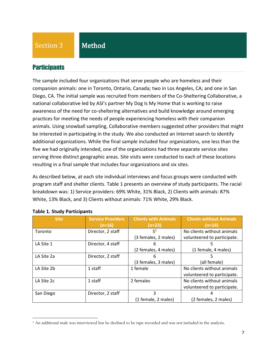Section 3

## Method

### **Participants**

The sample included four organizations that serve people who are homeless and their companion animals: one in Toronto, Ontario, Canada; two in Los Angeles, CA; and one in San Diego, CA. The initial sample was recruited from members of the Co-Sheltering Collaborative, a national collaborative led by ASI's partner My Dog Is My Home that is working to raise awareness of the need for co-sheltering alternatives and build knowledge around emerging practices for meeting the needs of people experiencing homeless with their companion animals. Using snowball sampling, Collaborative members suggested other providers that might be interested in participating in the study. We also conducted an Internet search to identify additional organizations. While the final sample included four organizations, one less than the five we had originally intended, one of the organizations had three separate service sites serving three distinct geographic areas. Site visits were conducted to each of these locations resulting in a final sample that includes four organizations and six sites.

As described below, at each site individual interviews and focus groups were conducted with program staff and shelter clients. Table 1 presents an overview of study participants. The racial breakdown was: 1) Service providers: 69% White, 31% Black, 2) Clients with animals: 87% White, 13% Black, and 3) Clients without animals: 71% White, 29% Black.

| <b>Site</b> | <b>Service Providers</b><br>$(n=16)$ | <b>Clients with Animals</b><br>$(n=23)$ | <b>Clients without Animals</b><br>(n=14) |
|-------------|--------------------------------------|-----------------------------------------|------------------------------------------|
| Toronto     | Director, 2 staff                    | 5 <sup>1</sup>                          | No clients without animals               |
|             |                                      | (3 females, 2 males)                    | volunteered to participate.              |
| LA Site 1   | Director, 4 staff                    | 6                                       | 5                                        |
|             |                                      | (2 females, 4 males)                    | (1 female, 4 males)                      |
| LA Site 2a  | Director, 2 staff                    | 6                                       | 5                                        |
|             |                                      | (3 females, 3 males)                    | (all female)                             |
| LA Site 2b  | 1 staff                              | 1 female                                | No clients without animals               |
|             |                                      |                                         | volunteered to participate.              |
| LA Site 2c  | 1 staff                              | 2 females                               | No clients without animals               |
|             |                                      |                                         | volunteered to participate.              |
| San Diego   | Director, 2 staff                    | 3                                       |                                          |
|             |                                      | (1 female, 2 males)                     | (2 females, 2 males)                     |

#### **Table 1. Study Participants**

<sup>1</sup> An additional male was interviewed but he declined to be tape recorded and was not included in the analysis.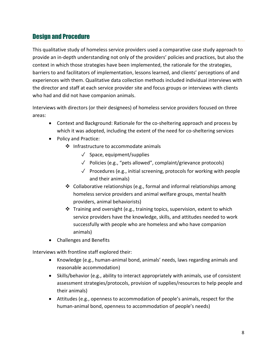# Design and Procedure

This qualitative study of homeless service providers used a comparative case study approach to provide an in-depth understanding not only of the providers' policies and practices, but also the context in which those strategies have been implemented, the rationale for the strategies, barriers to and facilitators of implementation, lessons learned, and clients' perceptions of and experiences with them. Qualitative data collection methods included individual interviews with the director and staff at each service provider site and focus groups or interviews with clients who had and did not have companion animals.

Interviews with directors (or their designees) of homeless service providers focused on three areas:

- Context and Background: Rationale for the co-sheltering approach and process by which it was adopted, including the extent of the need for co-sheltering services
- Policy and Practice:
	- ❖ Infrastructure to accommodate animals
		- $\sqrt{\phantom{a}}$  Space, equipment/supplies
		- ✓ Policies (e.g., "pets allowed", complaint/grievance protocols)
		- $\sqrt{ }$  Procedures (e.g., initial screening, protocols for working with people and their animals)
	- ❖ Collaborative relationships (e.g., formal and informal relationships among homeless service providers and animal welfare groups, mental health providers, animal behaviorists)
	- ❖ Training and oversight (e.g., training topics, supervision, extent to which service providers have the knowledge, skills, and attitudes needed to work successfully with people who are homeless and who have companion animals)
- Challenges and Benefits

Interviews with frontline staff explored their:

- Knowledge (e.g., human-animal bond, animals' needs, laws regarding animals and reasonable accommodation)
- Skills/behavior (e.g., ability to interact appropriately with animals, use of consistent assessment strategies/protocols, provision of supplies/resources to help people and their animals)
- Attitudes (e.g., openness to accommodation of people's animals, respect for the human-animal bond, openness to accommodation of people's needs)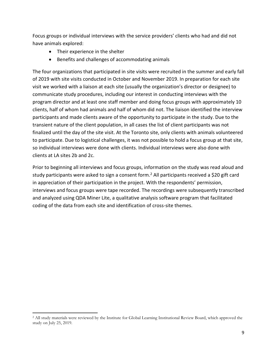Focus groups or individual interviews with the service providers' clients who had and did not have animals explored:

- Their experience in the shelter
- Benefits and challenges of accommodating animals

The four organizations that participated in site visits were recruited in the summer and early fall of 2019 with site visits conducted in October and November 2019. In preparation for each site visit we worked with a liaison at each site (usually the organization's director or designee) to communicate study procedures, including our interest in conducting interviews with the program director and at least one staff member and doing focus groups with approximately 10 clients, half of whom had animals and half of whom did not. The liaison identified the interview participants and made clients aware of the opportunity to participate in the study. Due to the transient nature of the client population, in all cases the list of client participants was not finalized until the day of the site visit. At the Toronto site, only clients with animals volunteered to participate. Due to logistical challenges, it was not possible to hold a focus group at that site, so individual interviews were done with clients. Individual interviews were also done with clients at LA sites 2b and 2c.

Prior to beginning all interviews and focus groups, information on the study was read aloud and study participants were asked to sign a consent form.<sup>2</sup> All participants received a \$20 gift card in appreciation of their participation in the project. With the respondents' permission, interviews and focus groups were tape recorded. The recordings were subsequently transcribed and analyzed using QDA Miner Lite, a qualitative analysis software program that facilitated coding of the data from each site and identification of cross-site themes.

<sup>&</sup>lt;sup>2</sup> All study materials were reviewed by the Institute for Global Learning Institutional Review Board, which approved the study on July 25, 2019.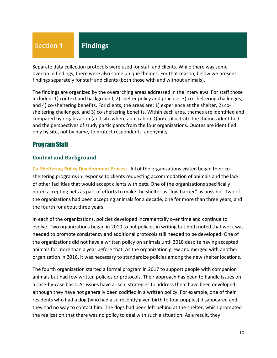Separate data collection protocols were used for staff and clients. While there was some overlap in findings, there were also some unique themes. For that reason, below we present findings separately for staff and clients (both those with and without animals).

The findings are organized by the overarching areas addressed in the interviews. For staff those included: 1) context and background, 2) shelter policy and practice, 3) co-sheltering challenges, and 4) co-sheltering benefits. For clients, the areas are: 1) experience at the shelter, 2) cosheltering challenges, and 3) co-sheltering benefits. Within each area, themes are identified and compared by organization (and site where applicable). Quotes illustrate the themes identified and the perspectives of study participants from the four organizations. Quotes are identified only by site, not by name, to protect respondents' anonymity.

# Program Staff

### **Context and Background**

**Co-Sheltering Policy Development Process.** All of the organizations visited began their cosheltering programs in response to clients requesting accommodation of animals and the lack of other facilities that would accept clients with pets. One of the organizations specifically noted accepting pets as part of efforts to make the shelter as "low barrier" as possible. Two of the organizations had been accepting animals for a decade, one for more than three years, and the fourth for about three years.

In each of the organizations, policies developed incrementally over time and continue to evolve. Two organizations began in 2010 to put policies in writing but both noted that work was needed to promote consistency and additional protocols still needed to be developed. One of the organizations did not have a written policy on animals until 2018 despite having accepted animals for more than a year before that. As the organization grew and merged with another organization in 2016, it was necessary to standardize policies among the new shelter locations.

The fourth organization started a formal program in 2017 to support people with companion animals but had few written policies or protocols. Their approach has been to handle issues on a case-by-case basis. As issues have arisen, strategies to address them have been developed, although they have not generally been codified in a written policy. For example, one of their residents who had a dog (who had also recently given birth to four puppies) disappeared and they had no way to contact him. The dogs had been left behind at the shelter, which prompted the realization that there was no policy to deal with such a situation. As a result, they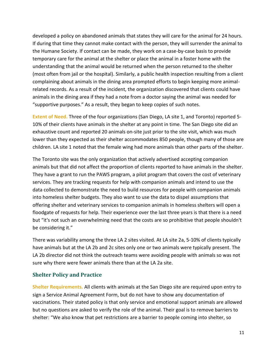developed a policy on abandoned animals that states they will care for the animal for 24 hours. If during that time they cannot make contact with the person, they will surrender the animal to the Humane Society. If contact can be made, they work on a case-by-case basis to provide temporary care for the animal at the shelter or place the animal in a foster home with the understanding that the animal would be returned when the person returned to the shelter (most often from jail or the hospital). Similarly, a public health inspection resulting from a client complaining about animals in the dining area prompted efforts to begin keeping more animalrelated records. As a result of the incident, the organization discovered that clients could have animals in the dining area if they had a note from a doctor saying the animal was needed for "supportive purposes." As a result, they began to keep copies of such notes.

**Extent of Need.** Three of the four organizations (San Diego, LA site 1, and Toronto) reported 5- 10% of their clients have animals in the shelter at any point in time. The San Diego site did an exhaustive count and reported 20 animals on-site just prior to the site visit, which was much lower than they expected as their shelter accommodates 850 people, though many of those are children. LA site 1 noted that the female wing had more animals than other parts of the shelter.

The Toronto site was the only organization that actively advertised accepting companion animals but that did not affect the proportion of clients reported to have animals in the shelter. They have a grant to run the PAWS program, a pilot program that covers the cost of veterinary services. They are tracking requests for help with companion animals and intend to use the data collected to demonstrate the need to build resources for people with companion animals into homeless shelter budgets. They also want to use the data to dispel assumptions that offering shelter and veterinary services to companion animals in homeless shelters will open a floodgate of requests for help. Their experience over the last three years is that there is a need but "it's not such an overwhelming need that the costs are so prohibitive that people shouldn't be considering it."

There was variability among the three LA 2 sites visited. At LA site 2a, 5-10% of clients typically have animals but at the LA 2b and 2c sites only one or two animals were typically present. The LA 2b director did not think the outreach teams were avoiding people with animals so was not sure why there were fewer animals there than at the LA 2a site.

### **Shelter Policy and Practice**

**Shelter Requirements.** All clients with animals at the San Diego site are required upon entry to sign a Service Animal Agreement Form, but do not have to show any documentation of vaccinations. Their stated policy is that only service and emotional support animals are allowed but no questions are asked to verify the role of the animal. Their goal is to remove barriers to shelter: "We also know that pet restrictions are a barrier to people coming into shelter, so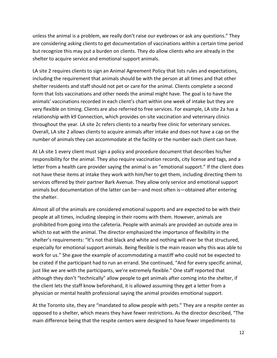unless the animal is a problem, we really don't raise our eyebrows or ask any questions." They are considering asking clients to get documentation of vaccinations within a certain time period but recognize this may put a burden on clients. They do allow clients who are already in the shelter to acquire service and emotional support animals.

LA site 2 requires clients to sign an Animal Agreement Policy that lists rules and expectations, including the requirement that animals should be with the person at all times and that other shelter residents and staff should not pet or care for the animal. Clients complete a second form that lists vaccinations and other needs the animal might have. The goal is to have the animals' vaccinations recorded in each client's chart within one week of intake but they are very flexible on timing. Clients are also referred to free services. For example, LA site 2a has a relationship with k9 Connection, which provides on-site vaccination and veterinary clinics throughout the year. LA site 2c refers clients to a nearby free clinic for veterinary services. Overall, LA site 2 allows clients to acquire animals after intake and does not have a cap on the number of animals they can accommodate at the facility or the number each client can have.

At LA site 1 every client must sign a policy and procedure document that describes his/her responsibility for the animal. They also require vaccination records, city license and tags, and a letter from a health care provider saying the animal is an "emotional support." If the client does not have these items at intake they work with him/her to get them, including directing them to services offered by their partner Bark Avenue. They allow only service and emotional support animals but documentation of the latter can be—and most often is—obtained after entering the shelter.

Almost all of the animals are considered emotional supports and are expected to be with their people at all times, including sleeping in their rooms with them. However, animals are prohibited from going into the cafeteria. People with animals are provided an outside area in which to eat with the animal. The director emphasized the importance of flexibility in the shelter's requirements: "It's not that black and white and nothing will ever be that structured, especially for emotional support animals. Being flexible is the main reason why this was able to work for us." She gave the example of accommodating a mastiff who could not be expected to be crated if the participant had to run an errand. She continued, "And for every specific animal, just like we are with the participants, we're extremely flexible." One staff reported that although they don't "technically" allow people to get animals after coming into the shelter, if the client lets the staff know beforehand, it is allowed assuming they get a letter from a physician or mental health professional saying the animal provides emotional support.

At the Toronto site, they are "mandated to allow people with pets." They are a respite center as opposed to a shelter, which means they have fewer restrictions. As the director described, "The main difference being that the respite centers were designed to have fewer impediments to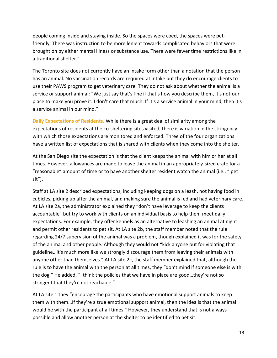people coming inside and staying inside. So the spaces were coed, the spaces were petfriendly. There was instruction to be more lenient towards complicated behaviors that were brought on by either mental illness or substance use. There were fewer time restrictions like in a traditional shelter."

The Toronto site does not currently have an intake form other than a notation that the person has an animal. No vaccination records are required at intake but they do encourage clients to use their PAWS program to get veterinary care. They do not ask about whether the animal is a service or support animal: "We just say that's fine if that's how you describe them, it's not our place to make you prove it. I don't care that much. If it's a service animal in your mind, then it's a service animal in our mind."

**Daily Expectations of Residents.** While there is a great deal of similarity among the expectations of residents at the co-sheltering sites visited, there is variation in the stringency with which those expectations are monitored and enforced. Three of the four organizations have a written list of expectations that is shared with clients when they come into the shelter.

At the San Diego site the expectation is that the client keeps the animal with him or her at all times. However, allowances are made to leave the animal in an appropriately-sized crate for a "reasonable" amount of time or to have another shelter resident watch the animal (i.e., " pet sit").

Staff at LA site 2 described expectations, including keeping dogs on a leash, not having food in cubicles, picking up after the animal, and making sure the animal is fed and had veterinary care. At LA site 2a, the administrator explained they "don't have leverage to keep the clients accountable" but try to work with clients on an individual basis to help them meet daily expectations. For example, they offer kennels as an alternative to leashing an animal at night and permit other residents to pet sit. At LA site 2b, the staff member noted that the rule regarding 24/7 supervision of the animal was a problem, though explained it was for the safety of the animal and other people. Although they would not "kick anyone out for violating that guideline…it's much more like we strongly discourage them from leaving their animals with anyone other than themselves." At LA site 2c, the staff member explained that, although the rule is to have the animal with the person at all times, they "don't mind if someone else is with the dog." He added, "I think the policies that we have in place are good…they're not so stringent that they're not reachable."

At LA site 1 they "encourage the participants who have emotional support animals to keep them with them…If they're a true emotional support animal, then the idea is that the animal would be with the participant at all times." However, they understand that is not always possible and allow another person at the shelter to be identified to pet sit.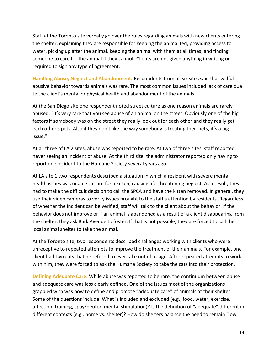Staff at the Toronto site verbally go over the rules regarding animals with new clients entering the shelter, explaining they are responsible for keeping the animal fed, providing access to water, picking up after the animal, keeping the animal with them at all times, and finding someone to care for the animal if they cannot. Clients are not given anything in writing or required to sign any type of agreement.

**Handling Abuse, Neglect and Abandonment.** Respondents from all six sites said that willful abusive behavior towards animals was rare. The most common issues included lack of care due to the client's mental or physical health and abandonment of the animals.

At the San Diego site one respondent noted street culture as one reason animals are rarely abused: "It's very rare that you see abuse of an animal on the street. Obviously one of the big factors if somebody was on the street they really look out for each other and they really get each other's pets. Also if they don't like the way somebody is treating their pets, it's a big issue."

At all three of LA 2 sites, abuse was reported to be rare. At two of three sites, staff reported never seeing an incident of abuse. At the third site, the administrator reported only having to report one incident to the Humane Society several years ago.

At LA site 1 two respondents described a situation in which a resident with severe mental health issues was unable to care for a kitten, causing life-threatening neglect. As a result, they had to make the difficult decision to call the SPCA and have the kitten removed. In general, they use their video cameras to verify issues brought to the staff's attention by residents. Regardless of whether the incident can be verified, staff will talk to the client about the behavior. If the behavior does not improve or if an animal is abandoned as a result of a client disappearing from the shelter, they ask Bark Avenue to foster. If that is not possible, they are forced to call the local animal shelter to take the animal.

At the Toronto site, two respondents described challenges working with clients who were unreceptive to repeated attempts to improve the treatment of their animals. For example, one client had two cats that he refused to ever take out of a cage. After repeated attempts to work with him, they were forced to ask the Humane Society to take the cats into their protection.

**Defining Adequate Care.** While abuse was reported to be rare, the continuum between abuse and adequate care was less clearly defined. One of the issues most of the organizations grappled with was how to define and promote "adequate care" of animals at their shelter. Some of the questions include: What is included and excluded (e.g., food, water, exercise, affection, training, spay/neuter, mental stimulation)? Is the definition of "adequate" different in different contexts (e.g., home vs. shelter)? How do shelters balance the need to remain "low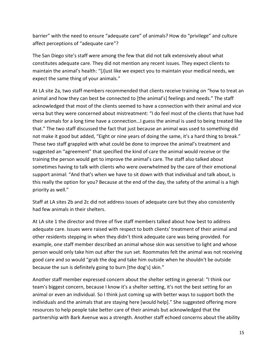barrier" with the need to ensure "adequate care" of animals? How do "privilege" and culture affect perceptions of "adequate care"?

The San Diego site's staff were among the few that did not talk extensively about what constitutes adequate care. They did not mention any recent issues. They expect clients to maintain the animal's health: "[J]ust like we expect you to maintain your medical needs, we expect the same thing of your animals."

At LA site 2a, two staff members recommended that clients receive training on "how to treat an animal and how they can best be connected to [the animal's] feelings and needs." The staff acknowledged that most of the clients seemed to have a connection with their animal and vice versa but they were concerned about mistreatment: "I do feel most of the clients that have had their animals for a long time have a connection…I guess the animal is used to being treated like that." The two staff discussed the fact that just because an animal was used to something did not make it good but added, "Eight or nine years of doing the same, it's a hard thing to break." These two staff grappled with what could be done to improve the animal's treatment and suggested an "agreement" that specified the kind of care the animal would receive or the training the person would get to improve the animal's care. The staff also talked about sometimes having to talk with clients who were overwhelmed by the care of their emotional support animal: "And that's when we have to sit down with that individual and talk about, is this really the option for you? Because at the end of the day, the safety of the animal is a high priority as well."

Staff at LA sites 2b and 2c did not address issues of adequate care but they also consistently had few animals in their shelters.

At LA site 1 the director and three of five staff members talked about how best to address adequate care. Issues were raised with respect to both clients' treatment of their animal and other residents stepping in when they didn't think adequate care was being provided. For example, one staff member described an animal whose skin was sensitive to light and whose person would only take him out after the sun set. Roommates felt the animal was not receiving good care and so would "grab the dog and take him outside when he shouldn't be outside because the sun is definitely going to burn [the dog's] skin."

Another staff member expressed concern about the shelter setting in general: "I think our team's biggest concern, because I know it's a shelter setting, it's not the best setting for an animal or even an individual. So I think just coming up with better ways to support both the individuals and the animals that are staying here [would help]." She suggested offering more resources to help people take better care of their animals but acknowledged that the partnership with Bark Avenue was a strength. Another staff echoed concerns about the ability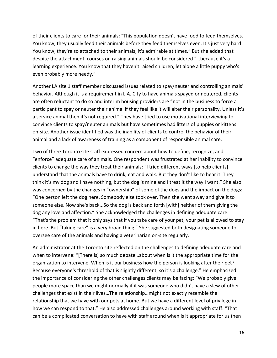of their clients to care for their animals: "This population doesn't have food to feed themselves. You know, they usually feed their animals before they feed themselves even. It's just very hard. You know, they're so attached to their animals, it's admirable at times." But she added that despite the attachment, courses on raising animals should be considered "…because it's a learning experience. You know that they haven't raised children, let alone a little puppy who's even probably more needy."

Another LA site 1 staff member discussed issues related to spay/neuter and controlling animals' behavior. Although it is a requirement in L.A. City to have animals spayed or neutered, clients are often reluctant to do so and interim housing providers are "not in the business to force a participant to spay or neuter their animal if they feel like it will alter their personality. Unless it's a service animal then it's not required." They have tried to use motivational interviewing to convince clients to spay/neuter animals but have sometimes had litters of puppies or kittens on-site. Another issue identified was the inability of clients to control the behavior of their animal and a lack of awareness of training as a component of responsible animal care.

Two of three Toronto site staff expressed concern about how to define, recognize, and "enforce" adequate care of animals. One respondent was frustrated at her inability to convince clients to change the way they treat their animals: "I tried different ways [to help clients] understand that the animals have to drink, eat and walk. But they don't like to hear it. They think it's my dog and I have nothing, but the dog is mine and I treat it the way I want." She also was concerned by the changes in "ownership" of some of the dogs and the impact on the dogs: "One person left the dog here. Somebody else took over. Then she went away and give it to someone else. Now she's back...So the dog is back and forth [with] neither of them giving the dog any love and affection." She acknowledged the challenges in defining adequate care: "That's the problem that it only says that if you take care of your pet, your pet is allowed to stay in here. But "taking care" is a very broad thing." She suggested both designating someone to oversee care of the animals and having a veterinarian on-site regularly.

An administrator at the Toronto site reflected on the challenges to defining adequate care and when to intervene: "[There is] so much debate…about when is it the appropriate time for the organization to intervene. When is it our business how the person is looking after their pet? Because everyone's threshold of that is slightly different, so it's a challenge." He emphasized the importance of considering the other challenges clients may be facing: "We probably give people more space than we might normally if it was someone who didn't have a slew of other challenges that exist in their lives…The relationship…might not exactly resemble the relationship that we have with our pets at home. But we have a different level of privilege in how we can respond to that." He also addressed challenges around working with staff: "That can be a complicated conversation to have with staff around when is it appropriate for us then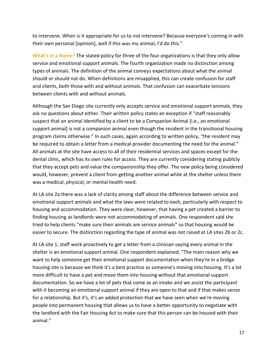to intervene. When is it appropriate for us to not intervene? Because everyone's coming in with their own personal [opinion], well if this was my animal, I'd do this."

**What's in a Name?** The stated policy for three of the four organizations is that they only allow service and emotional support animals. The fourth organization made no distinction among types of animals. The definition of the animal conveys expectations about what the animal should or should not do. When definitions are misapplied, this can create confusion for staff and clients, both those with and without animals. That confusion can exacerbate tensions between clients with and without animals.

Although the San Diego site currently only accepts service and emotional support animals, they ask no questions about either. Their written policy states an exception if "staff reasonably suspect that an animal identified by a client to be a Companion Animal [i.e., an emotional support animal] is not a companion animal even though the resident in the transitional housing program claims otherwise." In such cases, again according to written policy, "the resident may be required to obtain a letter from a medical provider documenting the need for the animal." All animals at the site have access to all of their residential services and spaces except for the dental clinic, which has its own rules for access. They are currently considering stating publicly that they accept pets and value the companionship they offer. The new policy being considered would, however, prevent a client from getting another animal while at the shelter unless there was a medical, physical, or mental health need.

At LA site 2a there was a lack of clarity among staff about the difference between service and emotional support animals and what the laws were related to each, particularly with respect to housing and accommodation. They were clear, however, that having a pet created a barrier to finding housing as landlords were not accommodating of animals. One respondent said she tried to help clients "make sure their animals are service animals" so that housing would be easier to secure. The distinction regarding the type of animal was not raised at LA sites 2b or 2c.

At LA site 1, staff work proactively to get a letter from a clinician saying every animal in the shelter is an emotional support animal. One respondent explained, "The main reason why we want to help someone get their emotional support documentation when they're in a bridge housing site is because we think it's a best practice as someone's moving into housing. It's a lot more difficult to have a pet and move them into housing without that emotional support documentation. So we have a lot of pets that come as an intake and we assist the participant with it becoming an emotional support animal if they are open to that and if that makes sense for a relationship. But it's, it's an added protection that we have seen when we're moving people into permanent housing that allows us to have a better opportunity to negotiate with the landlord with the Fair Housing Act to make sure that this person can be housed with their animal."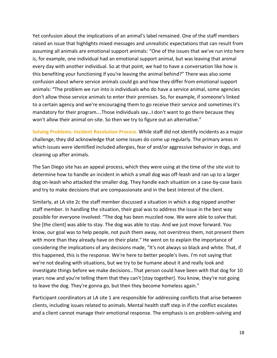Yet confusion about the implications of an animal's label remained. One of the staff members raised an issue that highlights mixed messages and unrealistic expectations that can result from assuming all animals are emotional support animals: "One of the issues that we've run into here is, for example, one individual had an emotional support animal, but was leaving that animal every day with another individual. So at that point, we had to have a conversation like how is this benefiting your functioning if you're leaving the animal behind?" There was also some confusion about where service animals could go and how they differ from emotional support animals: "The problem we run into is individuals who do have a service animal, some agencies don't allow those service animals to enter their premises. So, for example, if someone's linked to a certain agency and we're encouraging them to go receive their service and sometimes it's mandatory for their program….Those individuals say…I don't want to go there because they won't allow their animal on-site. So then we try to figure out an alternative."

**Solving Problems: Incident Resolution Process.** While staff did not identify incidents as a major challenge, they did acknowledge that some issues do come up regularly. The primary areas in which issues were identified included allergies, fear of and/or aggressive behavior in dogs, and cleaning up after animals.

The San Diego site has an appeal process, which they were using at the time of the site visit to determine how to handle an incident in which a small dog was off-leash and ran up to a larger dog on-leash who attacked the smaller dog. They handle each situation on a case-by-case basis and try to make decisions that are compassionate and in the best interest of the client.

Similarly, at LA site 2c the staff member discussed a situation in which a dog nipped another staff member. In handling the situation, their goal was to address the issue in the best way possible for everyone involved: "The dog has been muzzled now. We were able to solve that. She [the client] was able to stay. The dog was able to stay. And we just move forward. You know, our goal was to help people, not push them away, not overstress them, not present them with more than they already have on their plate." He went on to explain the importance of considering the implications of any decisions made, "It's not always so black and white. That, if this happened, this is the response. We're here to better people's lives. I'm not saying that we're not dealing with situations, but we try to be humane about it and really look and investigate things before we make decisions…That person could have been with that dog for 10 years now and you're telling them that they can't [stay together]. You know, they're not going to leave the dog. They're gonna go, but then they become homeless again."

Participant coordinators at LA site 1 are responsible for addressing conflicts that arise between clients, including issues related to animals. Mental health staff step in if the conflict escalates and a client cannot manage their emotional response. The emphasis is on problem-solving and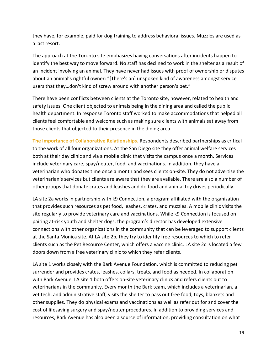they have, for example, paid for dog training to address behavioral issues. Muzzles are used as a last resort.

The approach at the Toronto site emphasizes having conversations after incidents happen to identify the best way to move forward. No staff has declined to work in the shelter as a result of an incident involving an animal. They have never had issues with proof of ownership or disputes about an animal's rightful owner: "[There's an] unspoken kind of awareness amongst service users that they…don't kind of screw around with another person's pet."

There have been conflicts between clients at the Toronto site, however, related to health and safety issues. One client objected to animals being in the dining area and called the public health department. In response Toronto staff worked to make accommodations that helped all clients feel comfortable and welcome such as making sure clients with animals sat away from those clients that objected to their presence in the dining area.

**The Importance of Collaborative Relationships.** Respondents described partnerships as critical to the work of all four organizations. At the San Diego site they offer animal welfare services both at their day clinic and via a mobile clinic that visits the campus once a month. Services include veterinary care, spay/neuter, food, and vaccinations. In addition, they have a veterinarian who donates time once a month and sees clients on-site. They do not advertise the veterinarian's services but clients are aware that they are available. There are also a number of other groups that donate crates and leashes and do food and animal toy drives periodically.

LA site 2a works in partnership with k9 Connection, a program affiliated with the organization that provides such resources as pet food, leashes, crates, and muzzles. A mobile clinic visits the site regularly to provide veterinary care and vaccinations. While k9 Connection is focused on pairing at-risk youth and shelter dogs, the program's director has developed extensive connections with other organizations in the community that can be leveraged to support clients at the Santa Monica site. At LA site 2b, they try to identify free resources to which to refer clients such as the Pet Resource Center, which offers a vaccine clinic. LA site 2c is located a few doors down from a free veterinary clinic to which they refer clients.

LA site 1 works closely with the Bark Avenue Foundation, which is committed to reducing pet surrender and provides crates, leashes, collars, treats, and food as needed. In collaboration with Bark Avenue, LA site 1 both offers on-site veterinary clinics and refers clients out to veterinarians in the community. Every month the Bark team, which includes a veterinarian, a vet tech, and administrative staff, visits the shelter to pass out free food, toys, blankets and other supplies. They do physical exams and vaccinations as well as refer out for and cover the cost of lifesaving surgery and spay/neuter procedures. In addition to providing services and resources, Bark Avenue has also been a source of information, providing consultation on what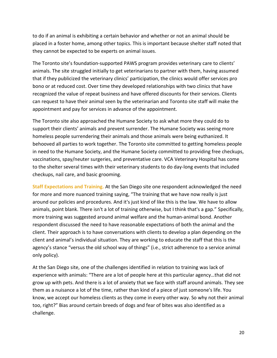to do if an animal is exhibiting a certain behavior and whether or not an animal should be placed in a foster home, among other topics. This is important because shelter staff noted that they cannot be expected to be experts on animal issues.

The Toronto site's foundation-supported PAWS program provides veterinary care to clients' animals. The site struggled initially to get veterinarians to partner with them, having assumed that if they publicized the veterinary clinics' participation, the clinics would offer services pro bono or at reduced cost. Over time they developed relationships with two clinics that have recognized the value of repeat business and have offered discounts for their services. Clients can request to have their animal seen by the veterinarian and Toronto site staff will make the appointment and pay for services in advance of the appointment.

The Toronto site also approached the Humane Society to ask what more they could do to support their clients' animals and prevent surrender. The Humane Society was seeing more homeless people surrendering their animals and those animals were being euthanized. It behooved all parties to work together. The Toronto site committed to getting homeless people in need to the Humane Society, and the Humane Society committed to providing free checkups, vaccinations, spay/neuter surgeries, and preventative care. VCA Veterinary Hospital has come to the shelter several times with their veterinary students to do day-long events that included checkups, nail care, and basic grooming.

**Staff Expectations and Training.** At the San Diego site one respondent acknowledged the need for more and more nuanced training saying, "The training that we have now really is just around our policies and procedures. And it's just kind of like this is the law. We have to allow animals, point blank. There isn't a lot of training otherwise, but I think that's a gap." Specifically, more training was suggested around animal welfare and the human-animal bond. Another respondent discussed the need to have reasonable expectations of both the animal and the client. Their approach is to have conversations with clients to develop a plan depending on the client and animal's individual situation. They are working to educate the staff that this is the agency's stance "versus the old school way of things" (i.e., strict adherence to a service animal only policy).

At the San Diego site, one of the challenges identified in relation to training was lack of experience with animals: "There are a lot of people here at this particular agency…that did not grow up with pets. And there is a lot of anxiety that we face with staff around animals. They see them as a nuisance a lot of the time, rather than kind of a piece of just someone's life. You know, we accept our homeless clients as they come in every other way. So why not their animal too, right?" Bias around certain breeds of dogs and fear of bites was also identified as a challenge.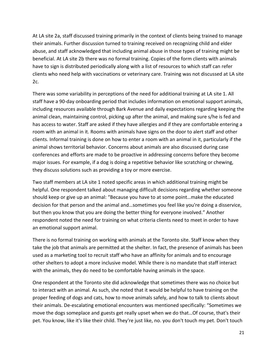At LA site 2a, staff discussed training primarily in the context of clients being trained to manage their animals. Further discussion turned to training received on recognizing child and elder abuse, and staff acknowledged that including animal abuse in those types of training might be beneficial. At LA site 2b there was no formal training. Copies of the form clients with animals have to sign is distributed periodically along with a list of resources to which staff can refer clients who need help with vaccinations or veterinary care. Training was not discussed at LA site 2c.

There was some variability in perceptions of the need for additional training at LA site 1. All staff have a 90-day onboarding period that includes information on emotional support animals, including resources available through Bark Avenue and daily expectations regarding keeping the animal clean, maintaining control, picking up after the animal, and making sure s/he is fed and has access to water. Staff are asked if they have allergies and if they are comfortable entering a room with an animal in it. Rooms with animals have signs on the door to alert staff and other clients. Informal training is done on how to enter a room with an animal in it, particularly if the animal shows territorial behavior. Concerns about animals are also discussed during case conferences and efforts are made to be proactive in addressing concerns before they become major issues. For example, if a dog is doing a repetitive behavior like scratching or chewing, they discuss solutions such as providing a toy or more exercise.

Two staff members at LA site 1 noted specific areas in which additional training might be helpful. One respondent talked about managing difficult decisions regarding whether someone should keep or give up an animal: "Because you have to at some point…make the educated decision for that person and the animal and…sometimes you feel like you're doing a disservice, but then you know that you are doing the better thing for everyone involved." Another respondent noted the need for training on what criteria clients need to meet in order to have an emotional support animal.

There is no formal training on working with animals at the Toronto site. Staff know when they take the job that animals are permitted at the shelter. In fact, the presence of animals has been used as a marketing tool to recruit staff who have an affinity for animals and to encourage other shelters to adopt a more inclusive model. While there is no mandate that staff interact with the animals, they do need to be comfortable having animals in the space.

One respondent at the Toronto site did acknowledge that sometimes there was no choice but to interact with an animal. As such, she noted that it would be helpful to have training on the proper feeding of dogs and cats, how to move animals safely, and how to talk to clients about their animals. De-escalating emotional encounters was mentioned specifically: "Sometimes we move the dogs someplace and guests get really upset when we do that…Of course, that's their pet. You know, like it's like their child. They're just like, no. you don't touch my pet. Don't touch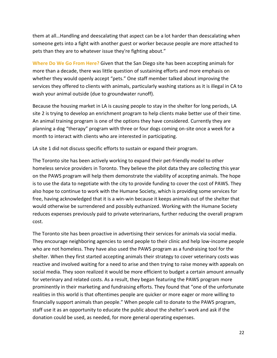them at all…Handling and deescalating that aspect can be a lot harder than deescalating when someone gets into a fight with another guest or worker because people are more attached to pets than they are to whatever issue they're fighting about."

**Where Do We Go From Here?** Given that the San Diego site has been accepting animals for more than a decade, there was little question of sustaining efforts and more emphasis on whether they would openly accept "pets." One staff member talked about improving the services they offered to clients with animals, particularly washing stations as it is illegal in CA to wash your animal outside (due to groundwater runoff).

Because the housing market in LA is causing people to stay in the shelter for long periods, LA site 2 is trying to develop an enrichment program to help clients make better use of their time. An animal training program is one of the options they have considered. Currently they are planning a dog "therapy" program with three or four dogs coming on-site once a week for a month to interact with clients who are interested in participating.

LA site 1 did not discuss specific efforts to sustain or expand their program.

The Toronto site has been actively working to expand their pet-friendly model to other homeless service providers in Toronto. They believe the pilot data they are collecting this year on the PAWS program will help them demonstrate the viability of accepting animals. The hope is to use the data to negotiate with the city to provide funding to cover the cost of PAWS. They also hope to continue to work with the Humane Society, which is providing some services for free, having acknowledged that it is a win-win because it keeps animals out of the shelter that would otherwise be surrendered and possibly euthanized. Working with the Humane Society reduces expenses previously paid to private veterinarians, further reducing the overall program cost.

The Toronto site has been proactive in advertising their services for animals via social media. They encourage neighboring agencies to send people to their clinic and help low-income people who are not homeless. They have also used the PAWS program as a fundraising tool for the shelter. When they first started accepting animals their strategy to cover veterinary costs was reactive and involved waiting for a need to arise and then trying to raise money with appeals on social media. They soon realized it would be more efficient to budget a certain amount annually for veterinary and related costs. As a result, they began featuring the PAWS program more prominently in their marketing and fundraising efforts. They found that "one of the unfortunate realities in this world is that oftentimes people are quicker or more eager or more willing to financially support animals than people." When people call to donate to the PAWS program, staff use it as an opportunity to educate the public about the shelter's work and ask if the donation could be used, as needed, for more general operating expenses.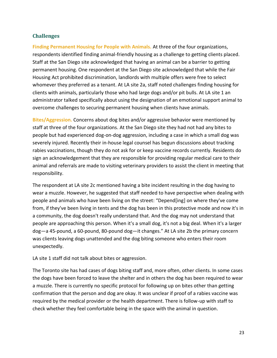### **Challenges**

**Finding Permanent Housing for People with Animals.** At three of the four organizations, respondents identified finding animal-friendly housing as a challenge to getting clients placed. Staff at the San Diego site acknowledged that having an animal can be a barrier to getting permanent housing. One respondent at the San Diego site acknowledged that while the Fair Housing Act prohibited discrimination, landlords with multiple offers were free to select whomever they preferred as a tenant. At LA site 2a, staff noted challenges finding housing for clients with animals, particularly those who had large dogs and/or pit bulls. At LA site 1 an administrator talked specifically about using the designation of an emotional support animal to overcome challenges to securing permanent housing when clients have animals.

**Bites/Aggression.** Concerns about dog bites and/or aggressive behavior were mentioned by staff at three of the four organizations. At the San Diego site they had not had any bites to people but had experienced dog-on-dog aggression, including a case in which a small dog was severely injured. Recently their in-house legal counsel has begun discussions about tracking rabies vaccinations, though they do not ask for or keep vaccine records currently. Residents do sign an acknowledgement that they are responsible for providing regular medical care to their animal and referrals are made to visiting veterinary providers to assist the client in meeting that responsibility.

The respondent at LA site 2c mentioned having a bite incident resulting in the dog having to wear a muzzle. However, he suggested that staff needed to have perspective when dealing with people and animals who have been living on the street: "Depend[ing] on where they've come from, if they've been living in tents and the dog has been in this protective mode and now it's in a community, the dog doesn't really understand that. And the dog may not understand that people are approaching this person. When it's a small dog, it's not a big deal. When it's a larger dog—a 45-pound, a 60-pound, 80-pound dog—it changes." At LA site 2b the primary concern was clients leaving dogs unattended and the dog biting someone who enters their room unexpectedly.

LA site 1 staff did not talk about bites or aggression.

The Toronto site has had cases of dogs biting staff and, more often, other clients. In some cases the dogs have been forced to leave the shelter and in others the dog has been required to wear a muzzle. There is currently no specific protocol for following up on bites other than getting confirmation that the person and dog are okay. It was unclear if proof of a rabies vaccine was required by the medical provider or the health department. There is follow-up with staff to check whether they feel comfortable being in the space with the animal in question.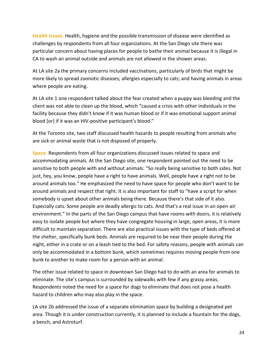**Health Issues.** Health, hygiene and the possible transmission of disease were identified as challenges by respondents from all four organizations. At the San Diego site there was particular concern about having places for people to bathe their animal because it is illegal in CA to wash an animal outside and animals are not allowed in the shower areas.

At LA site 2a the primary concerns included vaccinations, particularly of birds that might be more likely to spread zoonotic diseases; allergies especially to cats; and having animals in areas where people are eating.

At LA site 1 one respondent talked about the fear created when a puppy was bleeding and the client was not able to clean up the blood, which "caused a crisis with other individuals in the facility because they didn't know if it was human blood or if it was emotional support animal blood [or] if it was an HIV-positive participant's blood."

At the Toronto site, two staff discussed health hazards to people resulting from animals who are sick or animal waste that is not disposed of properly.

**Space.** Respondents from all four organizations discussed issues related to space and accommodating animals. At the San Diego site, one respondent pointed out the need to be sensitive to both people with and without animals: "So really being sensitive to both sides. Not just, hey, you know, people have a right to have animals. Well, people have a right not to be around animals too." He emphasized the need to have space for people who don't want to be around animals and respect that right. It is also important for staff to "have a script for when somebody is upset about other animals being there. Because there's that side of it also. Especially cats. Some people are deadly allergic to cats. And that's a real issue in an open-air environment." In the parts of the San Diego campus that have rooms with doors, it is relatively easy to isolate people but where they have congregate housing in large, open areas, it is more difficult to maintain separation. There are also practical issues with the type of beds offered at the shelter, specifically bunk beds. Animals are required to be near their people during the night, either in a crate or on a leash tied to the bed. For safety reasons, people with animals can only be accommodated in a bottom bunk, which sometimes requires moving people from one bunk to another to make room for a person with an animal.

The other issue related to space in downtown San Diego had to do with an area for animals to eliminate. The site's campus is surrounded by sidewalks with few if any grassy areas. Respondents noted the need for a space for dogs to eliminate that does not pose a health hazard to children who may also play in the space.

LA site 2b addressed the issue of a separate elimination space by building a designated pet area. Though it is under construction currently, it is planned to include a fountain for the dogs, a bench, and Astroturf.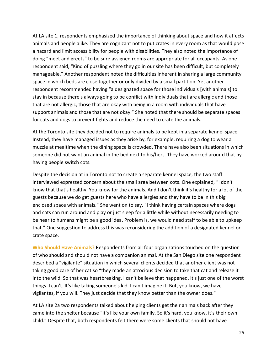At LA site 1, respondents emphasized the importance of thinking about space and how it affects animals and people alike. They are cognizant not to put crates in every room as that would pose a hazard and limit accessibility for people with disabilities. They also noted the importance of doing "meet and greets" to be sure assigned rooms are appropriate for all occupants. As one respondent said, "Kind of puzzling where they go in our site has been difficult, but completely manageable." Another respondent noted the difficulties inherent in sharing a large community space in which beds are close together or only divided by a small partition. Yet another respondent recommended having "a designated space for those individuals [with animals] to stay in because there's always going to be conflict with individuals that are allergic and those that are not allergic, those that are okay with being in a room with individuals that have support animals and those that are not okay." She noted that there should be separate spaces for cats and dogs to prevent fights and reduce the need to crate the animals.

At the Toronto site they decided not to require animals to be kept in a separate kennel space. Instead, they have managed issues as they arise by, for example, requiring a dog to wear a muzzle at mealtime when the dining space is crowded. There have also been situations in which someone did not want an animal in the bed next to his/hers. They have worked around that by having people switch cots.

Despite the decision at in Toronto not to create a separate kennel space, the two staff interviewed expressed concern about the small area between cots. One explained, "I don't know that that's healthy. You know for the animals. And I don't think it's healthy for a lot of the guests because we do get guests here who have allergies and they have to be in this big enclosed space with animals." She went on to say, "I think having certain spaces where dogs and cats can run around and play or just sleep for a little while without necessarily needing to be near to humans might be a good idea. Problem is, we would need staff to be able to upkeep that." One suggestion to address this was reconsidering the addition of a designated kennel or crate space.

**Who Should Have Animals?** Respondents from all four organizations touched on the question of who should and should not have a companion animal. At the San Diego site one respondent described a "vigilante" situation in which several clients decided that another client was not taking good care of her cat so "they made an atrocious decision to take that cat and release it into the wild. So that was heartbreaking. I can't believe that happened. It's just one of the worst things. I can't. It's like taking someone's kid. I can't imagine it. But, you know, we have vigilantes, if you will. They just decide that they know better than the owner does."

At LA site 2a two respondents talked about helping clients get their animals back after they came into the shelter because "it's like your own family. So it's hard, you know, it's their own child." Despite that, both respondents felt there were some clients that should not have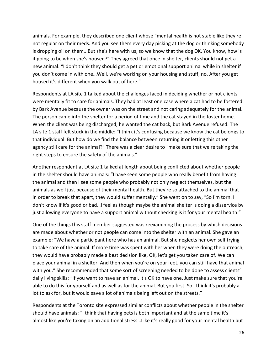animals. For example, they described one client whose "mental health is not stable like they're not regular on their meds. And you see them every day picking at the dog or thinking somebody is dropping oil on them...But she's here with us, so we know that the dog OK. You know, how is it going to be when she's housed?" They agreed that once in shelter, clients should not get a new animal: "I don't think they should get a pet or emotional support animal while in shelter if you don't come in with one…Well, we're working on your housing and stuff, no. After you get housed it's different when you walk out of here."

Respondents at LA site 1 talked about the challenges faced in deciding whether or not clients were mentally fit to care for animals. They had at least one case where a cat had to be fostered by Bark Avenue because the owner was on the street and not caring adequately for the animal. The person came into the shelter for a period of time and the cat stayed in the foster home. When the client was being discharged, he wanted the cat back, but Bark Avenue refused. The LA site 1 staff felt stuck in the middle: "I think it's confusing because we know the cat belongs to that individual. But how do we find the balance between returning it or letting this other agency still care for the animal?" There was a clear desire to "make sure that we're taking the right steps to ensure the safety of the animals."

Another respondent at LA site 1 talked at length about being conflicted about whether people in the shelter should have animals: "I have seen some people who really benefit from having the animal and then I see some people who probably not only neglect themselves, but the animals as well just because of their mental health. But they're so attached to the animal that in order to break that apart, they would suffer mentally." She went on to say, "So I'm torn. I don't know if it's good or bad…I feel as though maybe the animal shelter is doing a disservice by just allowing everyone to have a support animal without checking is it for your mental health."

One of the things this staff member suggested was reexamining the process by which decisions are made about whether or not people can come into the shelter with an animal. She gave an example: "We have a participant here who has an animal. But she neglects her own self trying to take care of the animal. If more time was spent with her when they were doing the outreach, they would have probably made a best decision like, OK, let's get you taken care of. We can place your animal in a shelter. And then when you're on your feet, you can still have that animal with you." She recommended that some sort of screening needed to be done to assess clients' daily living skills: "If you want to have an animal, it's OK to have one. Just make sure that you're able to do this for yourself and as well as for the animal. But you first. So I think it's probably a lot to ask for, but it would save a lot of animals being left out on the streets."

Respondents at the Toronto site expressed similar conflicts about whether people in the shelter should have animals: "I think that having pets is both important and at the same time it's almost like you're taking on an additional stress…Like it's really good for your mental health but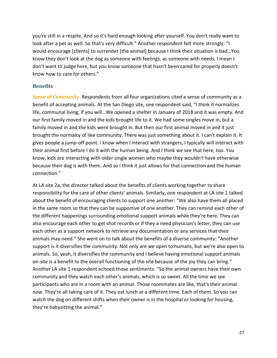you're still in a respite. And so it's hard enough looking after yourself. You don't really want to look after a pet as well. So that's very difficult." Another respondent felt more strongly: "I would encourage [clients] to surrender [the animal] because I think their situation is bad…You know they don't look at the dog as someone with feelings, as someone with needs. I mean I don't want to judge here, but you know someone that hasn't been cared for properly doesn't know how to care for others."

#### **Benefits**

**Sense of Community.** Respondents from all four organizations cited a sense of community as a benefit of accepting animals. At the San Diego site, one respondent said, "I think it normalizes life, communal living, if you will…We opened a shelter in January of 2018 and it was empty. And our first family moved in and the kids brought life to it. We had some singles move in, but a family moved in and the kids were brought in. But then our first animal moved in and it just brought the normalcy of like community. There was just something about it. I can't explain it. It gives people a jump-off point. I know when I interact with strangers, I typically will interact with their animal first before I do it with the human being. And I think we see that here, too. You know, kids are interacting with older single women who maybe they wouldn't have otherwise because their dog is with them. And so I think it just allows for that connection and the human connection."

At LA site 2a, the director talked about the benefits of clients working together to share responsibility for the care of other clients' animals. Similarly, one respondent at LA site 1 talked about the benefit of encouraging clients to support one another: "We also have them all placed in the same room so that they can be supportive of one another. They can remind each other of the different happenings surrounding emotional support animals while they're here. They can also encourage each other to get shot records or if they a need physician's letter, they can use each other as a support network to retrieve any documentation or any services that their animals may need." She went on to talk about the benefits of a diverse community: "Another support is it diversifies the community. Not only are we open to humans, but we're also open to animals. So, yeah, it diversifies the community and I believe having emotional support animals on-site is a benefit to the overall functioning of the site because of the joy they can bring." Another LA site 1 respondent echoed those sentiments: "So the animal owners have their own community and they watch each other's animals, which is so sweet. All the time we see participants who are in a room with an animal. Those roommates are like, that's their animal now. They're all taking care of it. They eat lunch at a different time. Each of them. So you can watch the dog on different shifts when their owner is in the hospital or looking for housing, they're babysitting the animal."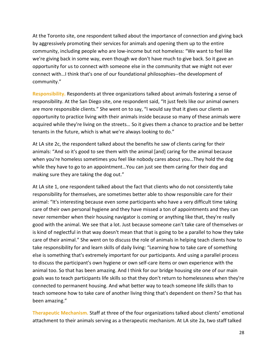At the Toronto site, one respondent talked about the importance of connection and giving back by aggressively promoting their services for animals and opening them up to the entire community, including people who are low-income but not homeless: "We want to feel like we're giving back in some way, even though we don't have much to give back. So it gave an opportunity for us to connect with someone else in the community that we might not ever connect with…I think that's one of our foundational philosophies--the development of community."

**Responsibility.** Respondents at three organizations talked about animals fostering a sense of responsibility. At the San Diego site, one respondent said, "It just feels like our animal owners are more responsible clients." She went on to say, "I would say that it gives our clients an opportunity to practice living with their animals inside because so many of these animals were acquired while they're living on the streets… So it gives them a chance to practice and be better tenants in the future, which is what we're always looking to do."

At LA site 2c, the respondent talked about the benefits he saw of clients caring for their animals: "And so it's good to see them with the animal [and] caring for the animal because when you're homeless sometimes you feel like nobody cares about you…They hold the dog while they have to go to an appointment…You can just see them caring for their dog and making sure they are taking the dog out."

At LA site 1, one respondent talked about the fact that clients who do not consistently take responsibility for themselves, are sometimes better able to show responsible care for their animal: "It's interesting because even some participants who have a very difficult time taking care of their own personal hygiene and they have missed a ton of appointments and they can never remember when their housing navigator is coming or anything like that, they're really good with the animal. We see that a lot. Just because someone can't take care of themselves or is kind of neglectful in that way doesn't mean that that is going to be a parallel to how they take care of their animal." She went on to discuss the role of animals in helping teach clients how to take responsibility for and learn skills of daily living: "Learning how to take care of something else is something that's extremely important for our participants. And using a parallel process to discuss the participant's own hygiene or own self-care items or own experience with the animal too. So that has been amazing. And I think for our bridge housing site one of our main goals was to teach participants life skills so that they don't return to homelessness when they're connected to permanent housing. And what better way to teach someone life skills than to teach someone how to take care of another living thing that's dependent on them? So that has been amazing."

**Therapeutic Mechanism.** Staff at three of the four organizations talked about clients' emotional attachment to their animals serving as a therapeutic mechanism. At LA site 2a, two staff talked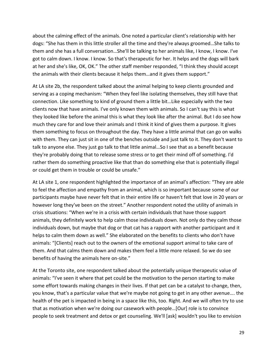about the calming effect of the animals. One noted a particular client's relationship with her dogs: "She has them in this little stroller all the time and they're always groomed…She talks to them and she has a full conversation…She'll be talking to her animals like, I know, I know. I've got to calm down. I know. I know. So that's therapeutic for her. It helps and the dogs will bark at her and she's like, OK, OK." The other staff member responded, "I think they should accept the animals with their clients because it helps them…and it gives them support."

At LA site 2b, the respondent talked about the animal helping to keep clients grounded and serving as a coping mechanism: "When they feel like isolating themselves, they still have that connection. Like something to kind of ground them a little bit…Like especially with the two clients now that have animals. I've only known them with animals. So I can't say this is what they looked like before the animal this is what they look like after the animal. But I do see how much they care for and love their animals and I think it kind of gives them a purpose. It gives them something to focus on throughout the day. They have a little animal that can go on walks with them. They can just sit in one of the benches outside and just talk to it. They don't want to talk to anyone else. They just go talk to that little animal…So I see that as a benefit because they're probably doing that to release some stress or to get their mind off of something. I'd rather them do something proactive like that than do something else that is potentially illegal or could get them in trouble or could be unsafe."

At LA site 1, one respondent highlighted the importance of an animal's affection: "They are able to feel the affection and empathy from an animal, which is so important because some of our participants maybe have never felt that in their entire life or haven't felt that love in 20 years or however long they've been on the street." Another respondent noted the utility of animals in crisis situations: "When we're in a crisis with certain individuals that have those support animals, they definitely work to help calm those individuals down. Not only do they calm those individuals down, but maybe that dog or that cat has a rapport with another participant and it helps to calm them down as well." She elaborated on the benefits to clients who don't have animals: "[Clients] reach out to the owners of the emotional support animal to take care of them. And that calms them down and makes them feel a little more relaxed. So we do see benefits of having the animals here on-site."

At the Toronto site, one respondent talked about the potentially unique therapeutic value of animals: "I've seen it where that pet could be the motivation to the person starting to make some effort towards making changes in their lives. If that pet can be a catalyst to change, then, you know, that's a particular value that we're maybe not going to get in any other avenue…. the health of the pet is impacted in being in a space like this, too. Right. And we will often try to use that as motivation when we're doing our casework with people…[Our] role is to convince people to seek treatment and detox or get counseling. We'll [ask] wouldn't you like to envision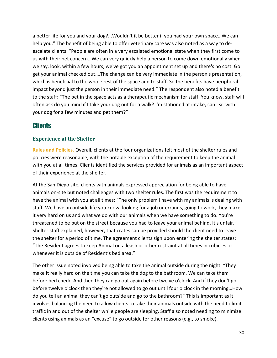a better life for you and your dog?...Wouldn't it be better if you had your own space…We can help you." The benefit of being able to offer veterinary care was also noted as a way to deescalate clients: "People are often in a very escalated emotional state when they first come to us with their pet concern…We can very quickly help a person to come down emotionally when we say, look, within a few hours, we've got you an appointment set up and there's no cost. Go get your animal checked out….The change can be very immediate in the person's presentation, which is beneficial to the whole rest of the space and to staff. So the benefits have peripheral impact beyond just the person in their immediate need." The respondent also noted a benefit to the staff: "The pet in the space acts as a therapeutic mechanism for staff. You know, staff will often ask do you mind if I take your dog out for a walk? I'm stationed at intake, can I sit with your dog for a few minutes and pet them?"

### **Clients**

### **Experience at the Shelter**

**Rules and Policies.** Overall, clients at the four organizations felt most of the shelter rules and policies were reasonable, with the notable exception of the requirement to keep the animal with you at all times. Clients identified the services provided for animals as an important aspect of their experience at the shelter.

At the San Diego site, clients with animals expressed appreciation for being able to have animals on-site but noted challenges with two shelter rules. The first was the requirement to have the animal with you at all times: "The only problem I have with my animals is dealing with staff. We have an outside life you know, looking for a job or errands, going to work, they make it very hard on us and what we do with our animals when we have something to do. You're threatened to be put on the street because you had to leave your animal behind. It's unfair." Shelter staff explained, however, that crates can be provided should the client need to leave the shelter for a period of time. The agreement clients sign upon entering the shelter states: "The Resident agrees to keep Animal on a leash or other restraint at all times in cubicles or whenever it is outside of Resident's bed area."

The other issue noted involved being able to take the animal outside during the night: "They make it really hard on the time you can take the dog to the bathroom. We can take them before bed check. And then they can go out again before twelve o'clock. And if they don't go before twelve o'clock then they're not allowed to go out until four o'clock in the morning…How do you tell an animal they can't go outside and go to the bathroom?" This is important as it involves balancing the need to allow clients to take their animals outside with the need to limit traffic in and out of the shelter while people are sleeping. Staff also noted needing to minimize clients using animals as an "excuse" to go outside for other reasons (e.g., to smoke).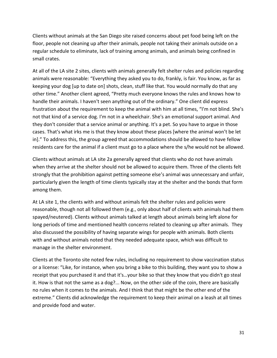Clients without animals at the San Diego site raised concerns about pet food being left on the floor, people not cleaning up after their animals, people not taking their animals outside on a regular schedule to eliminate, lack of training among animals, and animals being confined in small crates.

At all of the LA site 2 sites, clients with animals generally felt shelter rules and policies regarding animals were reasonable: "Everything they asked you to do, frankly, is fair. You know, as far as keeping your dog [up to date on] shots, clean, stuff like that. You would normally do that any other time." Another client agreed, "Pretty much everyone knows the rules and knows how to handle their animals. I haven't seen anything out of the ordinary." One client did express frustration about the requirement to keep the animal with him at all times, "I'm not blind. She's not that kind of a service dog. I'm not in a wheelchair. She's an emotional support animal. And they don't consider that a service animal or anything. It's a pet. So you have to argue in those cases. That's what irks me is that they know about these places [where the animal won't be let in]." To address this, the group agreed that accommodations should be allowed to have fellow residents care for the animal if a client must go to a place where the s/he would not be allowed.

Clients without animals at LA site 2a generally agreed that clients who do not have animals when they arrive at the shelter should not be allowed to acquire them. Three of the clients felt strongly that the prohibition against petting someone else's animal was unnecessary and unfair, particularly given the length of time clients typically stay at the shelter and the bonds that form among them.

At LA site 1, the clients with and without animals felt the shelter rules and policies were reasonable, though not all followed them (e.g., only about half of clients with animals had them spayed/neutered). Clients without animals talked at length about animals being left alone for long periods of time and mentioned health concerns related to cleaning up after animals. They also discussed the possibility of having separate wings for people with animals. Both clients with and without animals noted that they needed adequate space, which was difficult to manage in the shelter environment.

Clients at the Toronto site noted few rules, including no requirement to show vaccination status or a license: "Like, for instance, when you bring a bike to this building, they want you to show a receipt that you purchased it and that it's…your bike so that they know that you didn't go steal it. How is that not the same as a dog?... Now, on the other side of the coin, there are basically no rules when it comes to the animals. And I think that that might be the other end of the extreme." Clients did acknowledge the requirement to keep their animal on a leash at all times and provide food and water.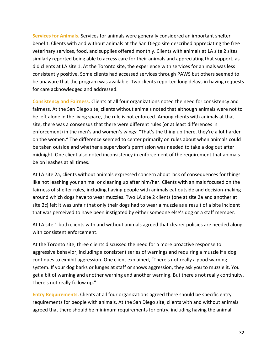**Services for Animals.** Services for animals were generally considered an important shelter benefit. Clients with and without animals at the San Diego site described appreciating the free veterinary services, food, and supplies offered monthly. Clients with animals at LA site 2 sites similarly reported being able to access care for their animals and appreciating that support, as did clients at LA site 1. At the Toronto site, the experience with services for animals was less consistently positive. Some clients had accessed services through PAWS but others seemed to be unaware that the program was available. Two clients reported long delays in having requests for care acknowledged and addressed.

**Consistency and Fairness.** Clients at all four organizations noted the need for consistency and fairness. At the San Diego site, clients without animals noted that although animals were not to be left alone in the living space, the rule is not enforced. Among clients with animals at that site, there was a consensus that there were different rules (or at least differences in enforcement) in the men's and women's wings: "That's the thing up there, they're a lot harder on the women." The difference seemed to center primarily on rules about when animals could be taken outside and whether a supervisor's permission was needed to take a dog out after midnight. One client also noted inconsistency in enforcement of the requirement that animals be on leashes at all times.

At LA site 2a, clients without animals expressed concern about lack of consequences for things like not leashing your animal or cleaning up after him/her. Clients with animals focused on the fairness of shelter rules, including having people with animals eat outside and decision-making around which dogs have to wear muzzles. Two LA site 2 clients (one at site 2a and another at site 2c) felt it was unfair that only their dogs had to wear a muzzle as a result of a bite incident that was perceived to have been instigated by either someone else's dog or a staff member.

At LA site 1 both clients with and without animals agreed that clearer policies are needed along with consistent enforcement.

At the Toronto site, three clients discussed the need for a more proactive response to aggressive behavior, including a consistent series of warnings and requiring a muzzle if a dog continues to exhibit aggression. One client explained, "There's not really a good warning system. If your dog barks or lunges at staff or shows aggression, they ask you to muzzle it. You get a bit of warning and another warning and another warning. But there's not really continuity. There's not really follow up."

**Entry Requirements.** Clients at all four organizations agreed there should be specific entry requirements for people with animals. At the San Diego site, clients with and without animals agreed that there should be minimum requirements for entry, including having the animal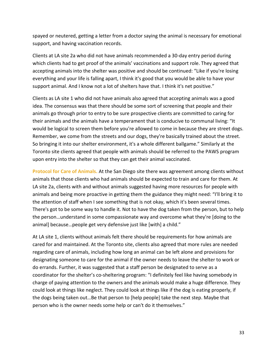spayed or neutered, getting a letter from a doctor saying the animal is necessary for emotional support, and having vaccination records.

Clients at LA site 2a who did not have animals recommended a 30-day entry period during which clients had to get proof of the animals' vaccinations and support role. They agreed that accepting animals into the shelter was positive and should be continued: "Like if you're losing everything and your life is falling apart, I think it's good that you would be able to have your support animal. And I know not a lot of shelters have that. I think it's net positive."

Clients as LA site 1 who did not have animals also agreed that accepting animals was a good idea. The consensus was that there should be some sort of screening that people and their animals go through prior to entry to be sure prospective clients are committed to caring for their animals and the animals have a temperament that is conducive to communal living: "It would be logical to screen them before you're allowed to come in because they are street dogs. Remember, we come from the streets and our dogs, they're basically trained about the street. So bringing it into our shelter environment, it's a whole different ballgame." Similarly at the Toronto site clients agreed that people with animals should be referred to the PAWS program upon entry into the shelter so that they can get their animal vaccinated.

**Protocol for Care of Animals.** At the San Diego site there was agreement among clients without animals that those clients who had animals should be expected to train and care for them. At LA site 2a, clients with and without animals suggested having more resources for people with animals and being more proactive in getting them the guidance they might need: "I'll bring it to the attention of staff when I see something that is not okay, which it's been several times. There's got to be some way to handle it. Not to have the dog taken from the person, but to help the person…understand in some compassionate way and overcome what they're [doing to the animal] because…people get very defensive just like [with] a child."

At LA site 1, clients without animals felt there should be requirements for how animals are cared for and maintained. At the Toronto site, clients also agreed that more rules are needed regarding care of animals, including how long an animal can be left alone and provisions for designating someone to care for the animal if the owner needs to leave the shelter to work or do errands. Further, it was suggested that a staff person be designated to serve as a coordinator for the shelter's co-sheltering program: "I definitely feel like having somebody in charge of paying attention to the owners and the animals would make a huge difference. They could look at things like neglect. They could look at things like if the dog is eating properly, if the dogs being taken out…Be that person to [help people] take the next step. Maybe that person who is the owner needs some help or can't do it themselves."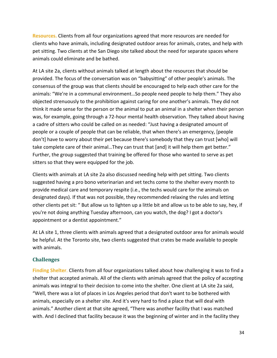**Resources.** Clients from all four organizations agreed that more resources are needed for clients who have animals, including designated outdoor areas for animals, crates, and help with pet sitting. Two clients at the San Diego site talked about the need for separate spaces where animals could eliminate and be bathed.

At LA site 2a, clients without animals talked at length about the resources that should be provided. The focus of the conversation was on "babysitting" of other people's animals. The consensus of the group was that clients should be encouraged to help each other care for the animals: "We're in a communal environment…So people need people to help them." They also objected strenuously to the prohibition against caring for one another's animals. They did not think it made sense for the person or the animal to put an animal in a shelter when their person was, for example, going through a 72-hour mental health observation. They talked about having a cadre of sitters who could be called on as needed: "Just having a designated amount of people or a couple of people that can be reliable, that when there's an emergency, [people don't] have to worry about their pet because there's somebody that they can trust [who] will take complete care of their animal…They can trust that [and] it will help them get better." Further, the group suggested that training be offered for those who wanted to serve as pet sitters so that they were equipped for the job.

Clients with animals at LA site 2a also discussed needing help with pet sitting. Two clients suggested having a pro bono veterinarian and vet techs come to the shelter every month to provide medical care and temporary respite (i.e., the techs would care for the animals on designated days). If that was not possible, they recommended relaxing the rules and letting other clients pet sit: " But allow us to lighten up a little bit and allow us to be able to say, hey, if you're not doing anything Tuesday afternoon, can you watch, the dog? I got a doctor's appointment or a dentist appointment."

At LA site 1, three clients with animals agreed that a designated outdoor area for animals would be helpful. At the Toronto site, two clients suggested that crates be made available to people with animals.

### **Challenges**

**Finding Shelter**. Clients from all four organizations talked about how challenging it was to find a shelter that accepted animals. All of the clients with animals agreed that the policy of accepting animals was integral to their decision to come into the shelter. One client at LA site 2a said, "Well, there was a lot of places in Los Angeles period that don't want to be bothered with animals, especially on a shelter site. And it's very hard to find a place that will deal with animals." Another client at that site agreed, "There was another facility that I was matched with. And I declined that facility because it was the beginning of winter and in the facility they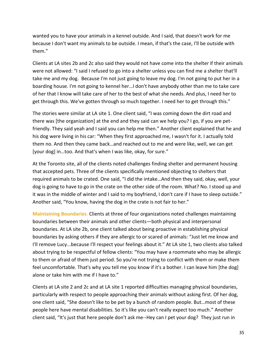wanted you to have your animals in a kennel outside. And I said, that doesn't work for me because I don't want my animals to be outside. I mean, if that's the case, I'll be outside with them."

Clients at LA sites 2b and 2c also said they would not have come into the shelter if their animals were not allowed: "I said I refused to go into a shelter unless you can find me a shelter that'll take me and my dog. Because I'm not just going to leave my dog. I'm not going to put her in a boarding house. I'm not going to kennel her…I don't have anybody other than me to take care of her that I know will take care of her to the best of what she needs. And plus, I need her to get through this. We've gotten through so much together. I need her to get through this."

The stories were similar at LA site 1. One client said, "I was coming down the dirt road and there was [the organization] at the end and they said can we help you? I go, if you are petfriendly. They said yeah and I said you can help me then." Another client explained that he and his dog were living in his car: "When they first approached me, I wasn't for it. I actually told them no. And then they came back…and reached out to me and were like, well, we can get [your dog] in...too. And that's when I was like, okay, for sure."

At the Toronto site, all of the clients noted challenges finding shelter and permanent housing that accepted pets. Three of the clients specifically mentioned objecting to shelters that required animals to be crated. One said, "I did the intake…And then they said, okay, well, your dog is going to have to go in the crate on the other side of the room. What? No. I stood up and it was in the middle of winter and I said to my boyfriend, I don't care if I have to sleep outside." Another said, "You know, having the dog in the crate is not fair to her."

**Maintaining Boundaries**. Clients at three of four organizations noted challenges maintaining boundaries between their animals and other clients—both physical and interpersonal boundaries. At LA site 2b, one client talked about being proactive in establishing physical boundaries by asking others if they are allergic to or scared of animals: "Just let me know and I'll remove Lucy...because I'll respect your feelings about it." At LA site 1, two clients also talked about trying to be respectful of fellow clients: "You may have a roommate who may be allergic to them or afraid of them just period. So you're not trying to conflict with them or make them feel uncomfortable. That's why you tell me you know if it's a bother. I can leave him [the dog] alone or take him with me if I have to."

Clients at LA site 2 and 2c and at LA site 1 reported difficulties managing physical boundaries, particularly with respect to people approaching their animals without asking first. Of her dog, one client said, "She doesn't like to be pet by a bunch of random people. But…most of these people here have mental disabilities. So it's like you can't really expect too much." Another client said, "It's just that here people don't ask me--Hey can I pet your dog? They just run in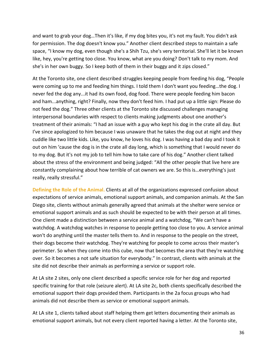and want to grab your dog…Then it's like, if my dog bites you, it's not my fault. You didn't ask for permission. The dog doesn't know you." Another client described steps to maintain a safe space, "I know my dog, even though she's a Shih Tzu, she's very territorial. She'll let it be known like, hey, you're getting too close. You know, what are you doing? Don't talk to my mom. And she's in her own buggy. So I keep both of them in their buggy and it zips closed."

At the Toronto site, one client described struggles keeping people from feeding his dog, "People were coming up to me and feeding him things. I told them I don't want you feeding…the dog. I never fed the dog any...it had its own food, dog food. There were people feeding him bacon and ham...anything, right? Finally, now they don't feed him. I had put up a little sign: Please do not feed the dog." Three other clients at the Toronto site discussed challenges managing interpersonal boundaries with respect to clients making judgments about one another's treatment of their animals: "I had an issue with a guy who kept his dog in the crate all day. But I've since apologized to him because I was unaware that he takes the dog out at night and they cuddle like two little kids. Like, you know, he loves his dog. I was having a bad day and I took it out on him 'cause the dog is in the crate all day long, which is something that I would never do to my dog. But it's not my job to tell him how to take care of his dog." Another client talked about the stress of the environment and being judged: "All the other people that live here are constantly complaining about how terrible of cat owners we are. So this is…everything's just really, really stressful."

**Defining the Role of the Animal.** Clients at all of the organizations expressed confusion about expectations of service animals, emotional support animals, and companion animals. At the San Diego site, clients without animals generally agreed that animals at the shelter were service or emotional support animals and as such should be expected to be with their person at all times. One client made a distinction between a service animal and a watchdog, "We can't have a watchdog. A watchdog watches in response to people getting too close to you. A service animal won't do anything until the master tells them to. And in response to the people on the street, their dogs become their watchdog. They're watching for people to come across their master's perimeter. So when they come into this cube, now that becomes the area that they're watching over. So it becomes a not safe situation for everybody." In contrast, clients with animals at the site did not describe their animals as performing a service or support role.

At LA site 2 sites, only one client described a specific service role for her dog and reported specific training for that role (seizure alert). At LA site 2c, both clients specifically described the emotional support their dogs provided them. Participants in the 2a focus groups who had animals did not describe them as service or emotional support animals.

At LA site 1, clients talked about staff helping them get letters documenting their animals as emotional support animals, but not every client reported having a letter. At the Toronto site,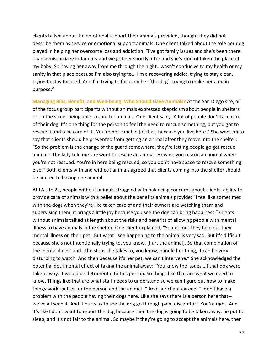clients talked about the emotional support their animals provided, thought they did not describe them as service or emotional support animals. One client talked about the role her dog played in helping her overcome loss and addiction, "I've got family issues and she's been there. I had a miscarriage in January and we got her shortly after and she's kind of taken the place of my baby. So having her away from me through the night…wasn't conducive to my health or my sanity in that place because I'm also trying to... I'm a recovering addict, trying to stay clean, trying to stay focused. And I'm trying to focus on her [the dog], trying to make her a main purpose."

**Managing Bias, Benefit, and Well-being: Who Should Have Animals?** At the San Diego site, all of the focus group participants without animals expressed skepticism about people in shelters or on the street being able to care for animals. One client said, "A lot of people don't take care of their dog. It's one thing for the person to feel the need to rescue something, but you got to rescue it and take care of it…You're not capable [of that] because you live here." She went on to say that clients should be prevented from getting an animal after they move into the shelter: "So the problem is the change of the guard somewhere, they're letting people go get rescue animals. The lady told me she went to rescue an animal. How do you rescue an animal when you're not rescued. You're in here being rescued, so you don't have space to rescue something else." Both clients with and without animals agreed that clients coming into the shelter should be limited to having one animal.

At LA site 2a, people without animals struggled with balancing concerns about clients' ability to provide care of animals with a belief about the benefits animals provide: "I feel like sometimes with the dogs when they're like taken care of and their owners are watching them and supervising them, it brings a little joy because you see the dog can bring happiness." Clients without animals talked at length about the risks and benefits of allowing people with mental illness to have animals in the shelter. One client explained, "Sometimes they take out their mental illness on their pet…But what I see happening to the animal is very sad. But it's difficult because she's not intentionally trying to, you know, [hurt the animal]. So that combination of the mental illness and...the steps she takes to, you know, handle her thing, it can be very disturbing to watch. And then because it's her pet, we can't intervene." She acknowledged the potential detrimental effect of taking the animal away: "You know the issues…if that dog were taken away. It would be detrimental to this person. So things like that are what we need to know. Things like that are what staff needs to understand so we can figure out how to make things work [better for the person and the animal]." Another client agreed, "I don't have a problem with the people having their dogs here. Like she says there is a person here that- we've all seen it. And it hurts us to see the dog go through pain, discomfort. You're right. And it's like I don't want to report the dog because then the dog is going to be taken away, be put to sleep, and it's not fair to the animal. So maybe if they're going to accept the animals here, then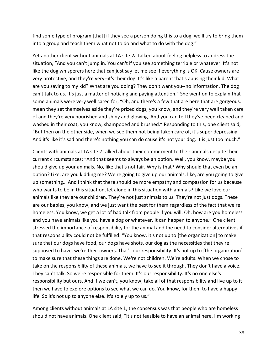find some type of program [that] if they see a person doing this to a dog, we'll try to bring them into a group and teach them what not to do and what to do with the dog."

Yet another client without animals at LA site 2a talked about feeling helpless to address the situation, "And you can't jump in. You can't if you see something terrible or whatever. It's not like the dog whisperers here that can just say let me see if everything is OK. Cause owners are very protective, and they're very--it's their dog. It's like a parent that's abusing their kid. What are you saying to my kid? What are you doing? They don't want you--no information. The dog can't talk to us. It's just a matter of noticing and paying attention." She went on to explain that some animals were very well cared for, "Oh, and there's a few that are here that are gorgeous. I mean they set themselves aside they're prized dogs, you know, and they're very well taken care of and they're very nourished and shiny and glowing. And you can tell they've been cleaned and washed in their coat, you know, shampooed and brushed." Responding to this, one client said, "But then on the other side, when we see them not being taken care of, it's super depressing. And it's like it's sad and there's nothing you can do cause it's not your dog. It is just too much."

Clients with animals at LA site 2 talked about their commitment to their animals despite their current circumstances: "And that seems to always be an option. Well, you know, maybe you should give up your animals. No, like that's not fair. Why is that? Why should that even be an option? Like, are you kidding me? We're going to give up our animals, like, are you going to give up something… And I think that there should be more empathy and compassion for us because who wants to be in this situation, let alone in this situation with animals? Like we love our animals like they are our children. They're not just animals to us. They're not just dogs. These are our babies, you know, and we just want the best for them regardless of the fact that we're homeless. You know, we get a lot of bad talk from people if you will. Oh, how are you homeless and you have animals like you have a dog or whatever. It can happen to anyone." One client stressed the importance of responsibility for the animal and the need to consider alternatives if that responsibility could not be fulfilled: "You know, it's not up to [the organization] to make sure that our dogs have food, our dogs have shots, our dog as the necessities that they're supposed to have, we're their owners. That's our responsibility. It's not up to [the organization] to make sure that these things are done. We're not children. We're adults. When we chose to take on the responsibility of these animals, we have to see it through. They don't have a voice. They can't talk. So we're responsible for them. It's our responsibility. It's no one else's responsibility but ours. And if we can't, you know, take all of that responsibility and live up to it then we have to explore options to see what we can do. You know, for them to have a happy life. So it's not up to anyone else. It's solely up to us."

Among clients without animals at LA site 1, the consensus was that people who are homeless should not have animals. One client said, "It's not feasible to have an animal here. I'm working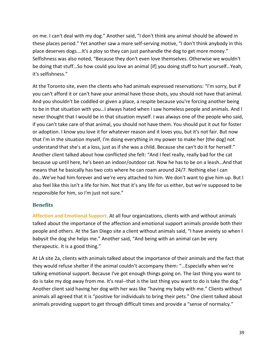on me. I can't deal with my dog." Another said, "I don't think any animal should be allowed in these places period." Yet another saw a more self-serving motive, "I don't think anybody in this place deserves dogs….It's a ploy so they can just panhandle the dog to get more money." Selfishness was also noted, "Because they don't even love themselves. Otherwise we wouldn't be doing that stuff…So how could you love an animal [if] you doing stuff to hurt yourself…Yeah, it's selfishness."

At the Toronto site, even the clients who had animals expressed reservations: "I'm sorry, but if you can't afford it or can't have your animal have those shots, you should not have that animal. And you shouldn't be coddled or given a place, a respite because you're forcing another being to be in that situation with you…I always hated when I saw homeless people and animals. And I never thought that I would be in that situation myself. I was always one of the people who said, if you can't take care of that animal, you should not have them. You should put it out for foster or adoption. I know you love it for whatever reason and it loves you, but it's not fair. But now that I'm in the situation myself, I'm doing everything in my power to make her [the dog] not understand that she's at a loss, just as if she was a child. Because she can't do it for herself." Another client talked about how conflicted she felt: "And I feel really, really bad for the cat because up until here, he's been an indoor/outdoor cat. Now he has to be on a leash…And that means that he basically has two cots where he can roam around 24/7. Nothing else I can do…We've had him forever and we're very attached to him. We don't want to give him up. But I also feel like this isn't a life for him. Not that it's any life for us either, but we're supposed to be responsible for him, so I'm just not sure."

#### **Benefits**

**Affection and Emotional Support.** At all four organizations, clients with and without animals talked about the importance of the affection and emotional support animals provide both their people and others. At the San Diego site a client without animals said, "I have anxiety so when I babysit the dog she helps me." Another said, "And being with an animal can be very therapeutic. It is a good thing."

At LA site 2a, clients with animals talked about the importance of their animals and the fact that they would refuse shelter if the animal couldn't accompany them: "…Especially when we're talking emotional support. Because I've got enough things going on. The last thing you want to do is take my dog away from me. It's real--that is the last thing you want to do is take the dog." Another client said having her dog with her was like "having my baby with me." Clients without animals all agreed that it is "positive for individuals to bring their pets." One client talked about animals providing support to get through difficult times and provide a "sense of normalcy."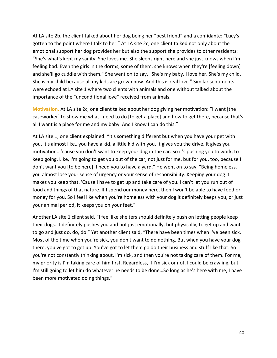At LA site 2b, the client talked about her dog being her "best friend" and a confidante: "Lucy's gotten to the point where I talk to her." At LA site 2c, one client talked not only about the emotional support her dog provides her but also the support she provides to other residents: "She's what's kept my sanity. She loves me. She sleeps right here and she just knows when I'm feeling bad. Even the girls in the dorms, some of them, she knows when they're [feeling down] and she'll go cuddle with them." She went on to say, "She's my baby. I love her. She's my child. She is my child because all my kids are grown now. And this is real love." Similar sentiments were echoed at LA site 1 where two clients with animals and one without talked about the importance of the "unconditional love" received from animals.

**Motivation.** At LA site 2c, one client talked about her dog giving her motivation: "I want [the caseworker] to show me what I need to do [to get a place] and how to get there, because that's all I want is a place for me and my baby. And I know I can do this."

At LA site 1, one client explained: "It's something different but when you have your pet with you, it's almost like…you have a kid, a little kid with you. It gives you the drive. It gives you motivation...'cause you don't want to keep your dog in the car. So it's pushing you to work, to keep going. Like, I'm going to get you out of the car, not just for me, but for you, too, because I don't want you [to be here]. I need you to have a yard." He went on to say, "Being homeless, you almost lose your sense of urgency or your sense of responsibility. Keeping your dog it makes you keep that. 'Cause I have to get up and take care of you. I can't let you run out of food and things of that nature. If I spend our money here, then I won't be able to have food or money for you. So I feel like when you're homeless with your dog it definitely keeps you, or just your animal period, it keeps you on your feet."

Another LA site 1 client said, "I feel like shelters should definitely push on letting people keep their dogs. It definitely pushes you and not just emotionally, but physically, to get up and want to go and just do, do, do." Yet another client said, "There have been times when I've been sick. Most of the time when you're sick, you don't want to do nothing. But when you have your dog there, you've got to get up. You've got to let them go do their business and stuff like that. So you're not constantly thinking about, I'm sick, and then you're not taking care of them. For me, my priority is I'm taking care of him first. Regardless, if I'm sick or not, I could be crawling, but I'm still going to let him do whatever he needs to be done…So long as he's here with me, I have been more motivated doing things."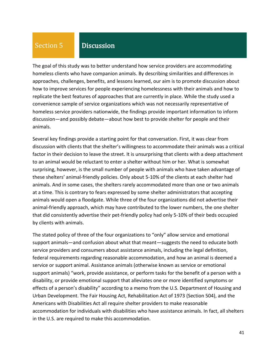# Section 5

# **Discussion**

The goal of this study was to better understand how service providers are accommodating homeless clients who have companion animals. By describing similarities and differences in approaches, challenges, benefits, and lessons learned, our aim is to promote discussion about how to improve services for people experiencing homelessness with their animals and how to replicate the best features of approaches that are currently in place. While the study used a convenience sample of service organizations which was not necessarily representative of homeless service providers nationwide, the findings provide important information to inform discussion—and possibly debate—about how best to provide shelter for people and their animals.

Several key findings provide a starting point for that conversation. First, it was clear from discussion with clients that the shelter's willingness to accommodate their animals was a critical factor in their decision to leave the street. It is unsurprising that clients with a deep attachment to an animal would be reluctant to enter a shelter without him or her. What is somewhat surprising, however, is the small number of people with animals who have taken advantage of these shelters' animal-friendly policies. Only about 5-10% of the clients at each shelter had animals. And in some cases, the shelters rarely accommodated more than one or two animals at a time. This is contrary to fears expressed by some shelter administrators that accepting animals would open a floodgate. While three of the four organizations did not advertise their animal-friendly approach, which may have contributed to the lower numbers, the one shelter that did consistently advertise their pet-friendly policy had only 5-10% of their beds occupied by clients with animals.

The stated policy of three of the four organizations to "only" allow service and emotional support animals—and confusion about what that meant—suggests the need to educate both service providers and consumers about assistance animals, including the legal definition, federal requirements regarding reasonable accommodation, and how an animal is deemed a service or support animal. Assistance animals (otherwise known as service or emotional support animals) "work, provide assistance, or perform tasks for the benefit of a person with a disability, or provide emotional support that alleviates one or more identified symptoms or effects of a person's disability" according to a memo from the U.S. Department of Housing and Urban Development. The Fair Housing Act, Rehabilitation Act of 1973 (Section 504), and the Americans with Disabilities Act all require shelter providers to make reasonable accommodation for individuals with disabilities who have assistance animals. In fact, all shelters in the U.S. are required to make this accommodation.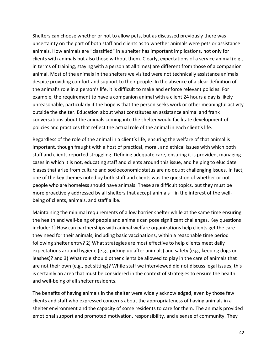Shelters can choose whether or not to allow pets, but as discussed previously there was uncertainty on the part of both staff and clients as to whether animals were pets or assistance animals. How animals are "classified" in a shelter has important implications, not only for clients with animals but also those without them. Clearly, expectations of a service animal (e.g., in terms of training, staying with a person at all times) are different from those of a companion animal. Most of the animals in the shelters we visited were not technically assistance animals despite providing comfort and support to their people. In the absence of a clear definition of the animal's role in a person's life, it is difficult to make and enforce relevant policies. For example, the requirement to have a companion animal with a client 24 hours a day is likely unreasonable, particularly if the hope is that the person seeks work or other meaningful activity outside the shelter. Education about what constitutes an assistance animal and frank conversations about the animals coming into the shelter would facilitate development of policies and practices that reflect the actual role of the animal in each client's life.

Regardless of the role of the animal in a client's life, ensuring the welfare of that animal is important, though fraught with a host of practical, moral, and ethical issues with which both staff and clients reported struggling. Defining adequate care, ensuring it is provided, managing cases in which it is not, educating staff and clients around this issue, and helping to elucidate biases that arise from culture and socioeconomic status are no doubt challenging issues. In fact, one of the key themes noted by both staff and clients was the question of whether or not people who are homeless should have animals. These are difficult topics, but they must be more proactively addressed by all shelters that accept animals—in the interest of the wellbeing of clients, animals, and staff alike.

Maintaining the minimal requirements of a low barrier shelter while at the same time ensuring the health and well-being of people and animals can pose significant challenges. Key questions include: 1) How can partnerships with animal welfare organizations help clients get the care they need for their animals, including basic vaccinations, within a reasonable time period following shelter entry? 2) What strategies are most effective to help clients meet daily expectations around hygiene (e.g., picking up after animals) and safety (e.g., keeping dogs on leashes)? and 3) What role should other clients be allowed to play in the care of animals that are not their own (e.g., pet sitting)? While staff we interviewed did not discuss legal issues, this is certainly an area that must be considered in the context of strategies to ensure the health and well-being of all shelter residents.

The benefits of having animals in the shelter were widely acknowledged, even by those few clients and staff who expressed concerns about the appropriateness of having animals in a shelter environment and the capacity of some residents to care for them. The animals provided emotional support and promoted motivation, responsibility, and a sense of community. They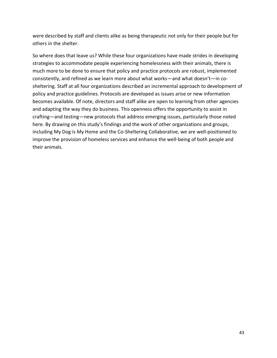were described by staff and clients alike as being therapeutic not only for their people but for others in the shelter.

So where does that leave us? While these four organizations have made strides in developing strategies to accommodate people experiencing homelessness with their animals, there is much more to be done to ensure that policy and practice protocols are robust, implemented consistently, and refined as we learn more about what works—and what doesn't—in cosheltering. Staff at all four organizations described an incremental approach to development of policy and practice guidelines. Protocols are developed as issues arise or new information becomes available. Of note, directors and staff alike are open to learning from other agencies and adapting the way they do business. This openness offers the opportunity to assist in crafting—and testing—new protocols that address emerging issues, particularly those noted here. By drawing on this study's findings and the work of other organizations and groups, including My Dog is My Home and the Co-Sheltering Collaborative, we are well-positioned to improve the provision of homeless services and enhance the well-being of both people and their animals.